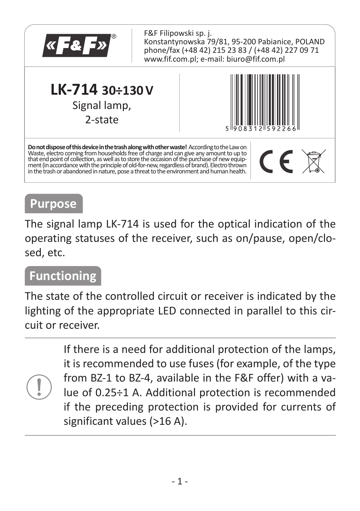

#### **Purpose**

The signal lamp LK-714 is used for the optical indication of the operating statuses of the receiver, such as on/pause, open/closed, etc.

## **Functioning**

The state of the controlled circuit or receiver is indicated by the lighting of the appropriate LED connected in parallel to this circuit or receiver.

> If there is a need for additional protection of the lamps, it is recommended to use fuses (for example, of the type from BZ-1 to BZ-4, available in the F&F offer) with a value of 0.25÷1 A. Additional protection is recommended if the preceding protection is provided for currents of significant values (>16 A).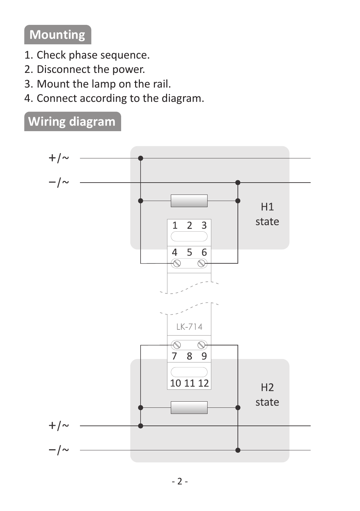# **Mounting**

- 1. Check phase sequence.
- 2.Disconnect the power.

**Wiring diagram**

- 3.Mount the lamp on the rail.
- 4.Connect according to the diagram.

#### $+/ H1$ state  $\overline{2}$  $\overline{1}$  $\overline{3}$  $\overline{5}$  $\overline{4}$  $\overline{6}$ Ġ  $\overline{\circ}$  $LK-714$  $\overline{\mathsf{D}}$  $\overline{\mathcal{O}}$  $\overline{8}$  $\overline{\tau}$  $\overline{9}$  $101112$  $H<sub>2</sub>$ state  $+/ -1$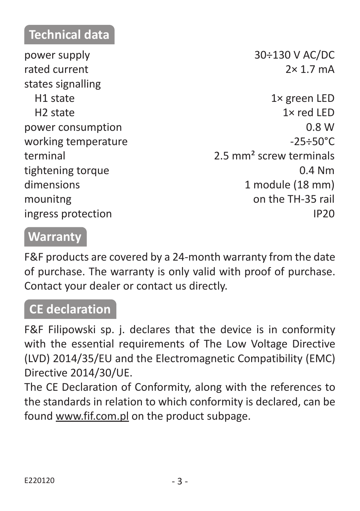## **Technical data**

power supply 30÷130 V AC/DC  $r \times 1.7 \text{ mA}$ states signalling

H1 state 1× green LED H2 state 1× red LED power consumption 0.8 W working temperature  $-25 \div 50^{\circ}$ C terminal 2.5 mm² screw terminals tightening torque 0.4 Nm dimensions 1 module (18 mm) mounitng on the TH-35 rail ingress protection and intervals are a set of the IP20

#### **Warranty**

F&F products are covered by a 24-month warranty from the date of purchase. The warranty is only valid with proof of purchase. Contact your dealer or contact us directly.

### **CE declaration**

F&F Filipowski sp. j. declares that the device is in conformity with the essential requirements of The Low Voltage Directive (LVD) 2014/35/EU and the Electromagnetic Compatibility (EMC) Directive 2014/30/UE.

The CE Declaration of Conformity, along with the references to the standards in relation to which conformity is declared, can be found www.fif.com.pl on the product subpage.